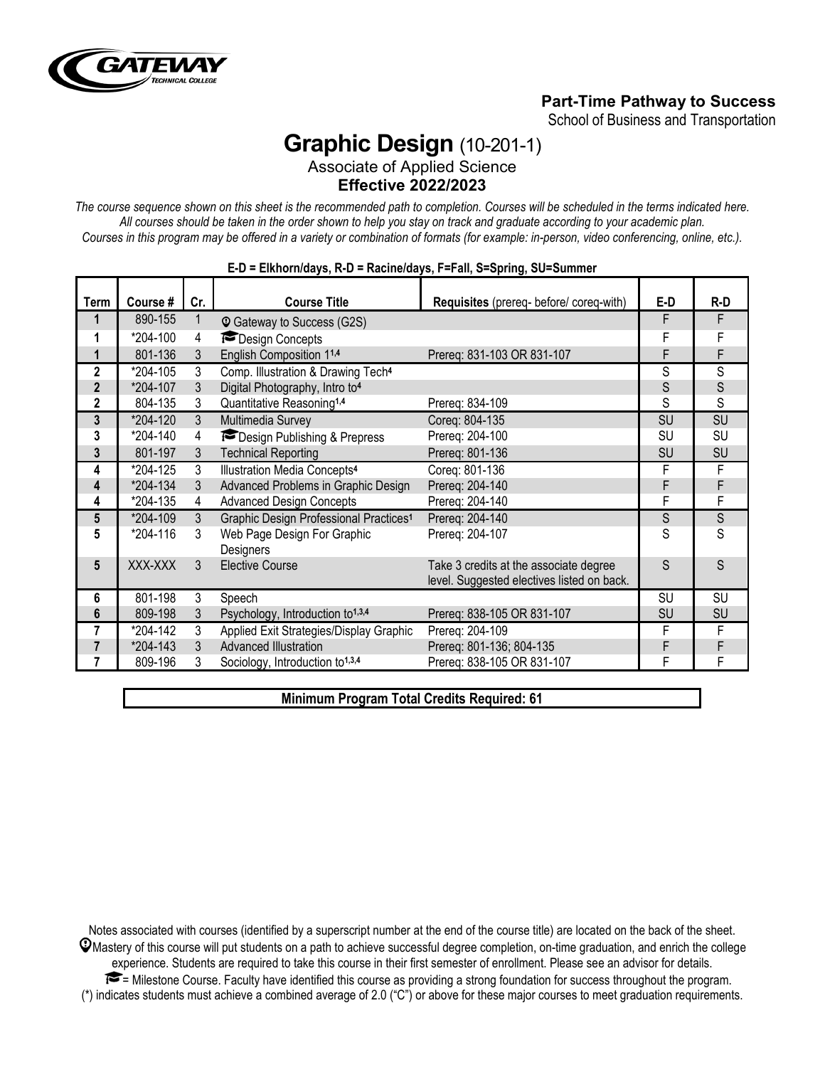

# **Part-Time Pathway to Success**

School of Business and Transportation

# **Graphic Design** (10-201-1)

Associate of Applied Science **Effective 2022/2023**

*The course sequence shown on this sheet is the recommended path to completion. Courses will be scheduled in the terms indicated here. All courses should be taken in the order shown to help you stay on track and graduate according to your academic plan. Courses in this program may be offered in a variety or combination of formats (for example: in-person, video conferencing, online, etc.).*

| Term           | Course # | Cr. | <b>Course Title</b>                                | Requisites (prereq- before/ coreq-with)                                              | E-D       | R-D       |
|----------------|----------|-----|----------------------------------------------------|--------------------------------------------------------------------------------------|-----------|-----------|
|                | 890-155  | 1   | <b>Q</b> Gateway to Success (G2S)                  |                                                                                      | F         | F         |
| 1              | *204-100 | 4   | Design Concepts                                    |                                                                                      | F         | F         |
| 1              | 801-136  | 3   | English Composition 11,4                           | Prereq: 831-103 OR 831-107                                                           | F         | F         |
| 2              | *204-105 | 3   | Comp. Illustration & Drawing Tech <sup>4</sup>     |                                                                                      | S         | S         |
| $\overline{2}$ | *204-107 | 3   | Digital Photography, Intro to <sup>4</sup>         |                                                                                      | S         | S         |
| $\mathbf{2}$   | 804-135  | 3   | Quantitative Reasoning <sup>1,4</sup>              | Prereg: 834-109                                                                      | S         | S         |
| 3              | *204-120 | 3   | Multimedia Survey                                  | Coreg: 804-135                                                                       | <b>SU</b> | SU        |
| 3              | *204-140 | 4   | Design Publishing & Prepress                       | Prereg: 204-100                                                                      | <b>SU</b> | <b>SU</b> |
| 3              | 801-197  | 3   | <b>Technical Reporting</b>                         | Prereq: 801-136                                                                      | SU        | SU        |
| 4              | *204-125 | 3   | Illustration Media Concepts <sup>4</sup>           | Coreg: 801-136                                                                       | F         | F         |
| 4              | *204-134 | 3   | Advanced Problems in Graphic Design                | Prereg: 204-140                                                                      | F         | F         |
| 4              | *204-135 | 4   | <b>Advanced Design Concepts</b>                    | Prereq: 204-140                                                                      | F         | F         |
| 5              | *204-109 | 3   | Graphic Design Professional Practices <sup>1</sup> | Prereq: 204-140                                                                      | S         | S         |
| 5              | *204-116 | 3   | Web Page Design For Graphic<br>Designers           | Prereq: 204-107                                                                      | S         | S         |
| 5              | XXX-XXX  | 3   | <b>Elective Course</b>                             | Take 3 credits at the associate degree<br>level. Suggested electives listed on back. | S         | S.        |
| 6              | 801-198  | 3   | Speech                                             |                                                                                      | <b>SU</b> | SU        |
| 6              | 809-198  | 3   | Psychology, Introduction to <sup>1,3,4</sup>       | Prereq: 838-105 OR 831-107                                                           | <b>SU</b> | SU        |
| 7              | *204-142 | 3   | Applied Exit Strategies/Display Graphic            | Prereg: 204-109                                                                      | F         | F         |
| $\overline{7}$ | *204-143 | 3   | Advanced Illustration                              | Prereq: 801-136; 804-135                                                             | F         | F         |
|                | 809-196  | 3   | Sociology, Introduction to <sup>1,3,4</sup>        | Prereq: 838-105 OR 831-107                                                           | F         | F         |

# **E-D = Elkhorn/days, R-D = Racine/days, F=Fall, S=Spring, SU=Summer**

**Minimum Program Total Credits Required: 61**

Notes associated with courses (identified by a superscript number at the end of the course title) are located on the back of the sheet.  $\mathcal Q$ Mastery of this course will put students on a path to achieve successful degree completion, on-time graduation, and enrich the college experience. Students are required to take this course in their first semester of enrollment. Please see an advisor for details. = Milestone Course. Faculty have identified this course as providing a strong foundation for success throughout the program. (\*) indicates students must achieve a combined average of 2.0 ("C") or above for these major courses to meet graduation requirements.